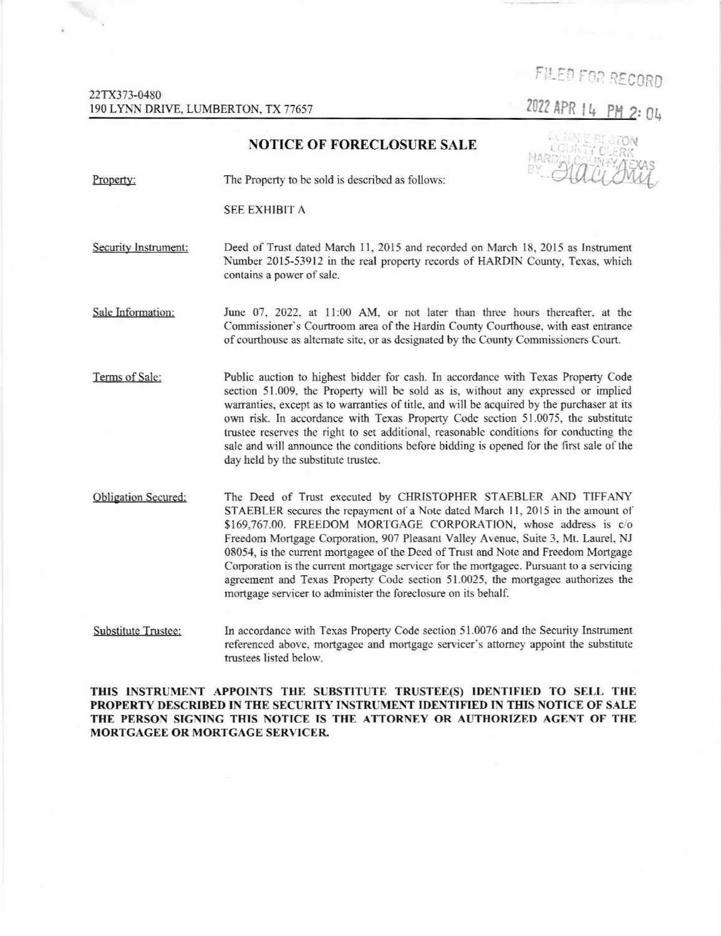FILED FOR RECORD

## NOTICE OF FORECLOSURE SALE



Property: The Property to be sold is described as follows:

SEE EXHIBIT A

Security Instrument: Deed of Trust dated March 11, 2015 and recorded on March 18, 2015 as Instrument Number 2015-53912 in the real property records of HARDIN County, Texas, which contains a power of sale.

June 07, 2022, at 11:00 AM, or not later than three hours thereafter, at the Commissioner's Courtroom area of the Hardin County Courthouse, with east entrance of courthouse as alternate site, or as designated by the County Commissioners Court. Sale Information:

Terms of Salc: Public auction to highest bidder for cash. In accordancc with Texas Property Code section 51.009, the Property will be sold as is, without any expressed or implied warranties, except as to warranties of title, and will be acquired by the purchaser at its own risk. In accordance with Texas Property Code scction 51.0075, the substitute trustee reserves the right to set additional, reasonable conditions for conducting the sale and will announce the conditions before bidding is opened for the first sale of the day held by the substitute trustee.

Obligation Sccured: The Deed of Trust executed by CHRISTOPHER STAEBLER AND TIFFANY STAEBLER secures the repayment of a Note dated March 11, 2015 in the amount of \$169.767.00. FREEDOM MORTGAGE CORPORATION, whose address is c/o Freedom Mortgage Corpomtion, 907 Pleasant Valley Avenue, Suite 3, Mt. Laurel. NJ 08054, is the current mortgagee of the Deed of Trust and Note and Freedom Mortgage Corporation is the current mortgage servicer for the mortgagee. Pursuant to a servicing agreement and Texas Property Code section 51.0025, the mortgagee authorizes the mortgage servicer to administer the foreclosure on its behalf.

In accordance with Texas Property Code section 51.0076 and the Security Instrument referenced above, mortgagee and mortgage servicer's attorney appoint the substitute trustees listed below. Substitute Trustee:

THIS INSTRUMENT APPOINTS THE SUBSTITUTE TRUSTEE(S) IDENTIFIED TO SELL THE PROPERTY DESCRIBED IN THE SECURITY INSTRUMENT IDENTIFIED IN THIS NOTICE OF SALE THE PERSON SIGNING THIS NOTICE IS THE ATTORNEY OR AUTHORIZED AGENT OF THE MORTGAGEE OR MORTGAGE SERVICER.